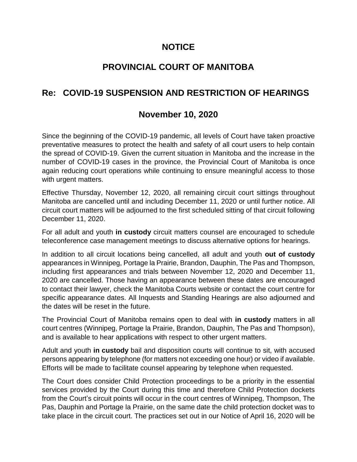## **NOTICE**

# **PROVINCIAL COURT OF MANITOBA**

# **Re: COVID-19 SUSPENSION AND RESTRICTION OF HEARINGS**

## **November 10, 2020**

Since the beginning of the COVID-19 pandemic, all levels of Court have taken proactive preventative measures to protect the health and safety of all court users to help contain the spread of COVID-19. Given the current situation in Manitoba and the increase in the number of COVID-19 cases in the province, the Provincial Court of Manitoba is once again reducing court operations while continuing to ensure meaningful access to those with urgent matters.

Effective Thursday, November 12, 2020, all remaining circuit court sittings throughout Manitoba are cancelled until and including December 11, 2020 or until further notice. All circuit court matters will be adjourned to the first scheduled sitting of that circuit following December 11, 2020.

For all adult and youth **in custody** circuit matters counsel are encouraged to schedule teleconference case management meetings to discuss alternative options for hearings.

In addition to all circuit locations being cancelled, all adult and youth **out of custody** appearances in Winnipeg, Portage la Prairie, Brandon, Dauphin, The Pas and Thompson, including first appearances and trials between November 12, 2020 and December 11, 2020 are cancelled. Those having an appearance between these dates are encouraged to contact their lawyer, check the Manitoba Courts website or contact the court centre for specific appearance dates. All Inquests and Standing Hearings are also adjourned and the dates will be reset in the future.

The Provincial Court of Manitoba remains open to deal with **in custody** matters in all court centres (Winnipeg, Portage la Prairie, Brandon, Dauphin, The Pas and Thompson), and is available to hear applications with respect to other urgent matters.

Adult and youth **in custody** bail and disposition courts will continue to sit, with accused persons appearing by telephone (for matters not exceeding one hour) or video if available. Efforts will be made to facilitate counsel appearing by telephone when requested.

The Court does consider Child Protection proceedings to be a priority in the essential services provided by the Court during this time and therefore Child Protection dockets from the Court's circuit points will occur in the court centres of Winnipeg, Thompson, The Pas, Dauphin and Portage la Prairie, on the same date the child protection docket was to take place in the circuit court. The practices set out in our Notice of April 16, 2020 will be